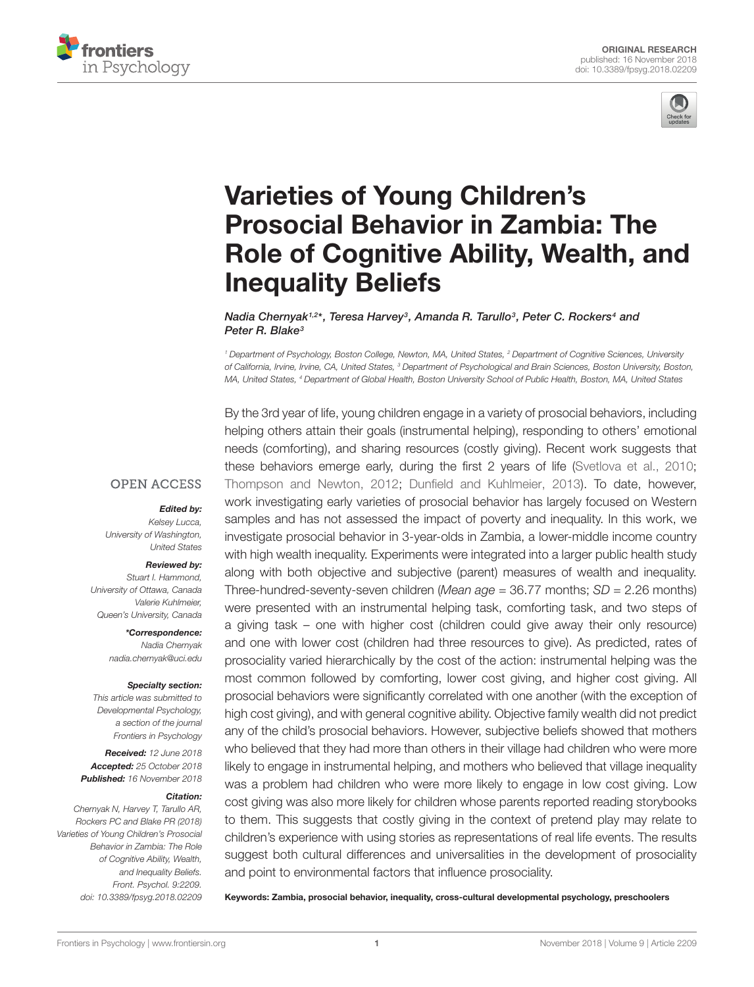



# Varieties of Young Children's Prosocial Behavior in Zambia: The [Role of Cognitive Ability, Wealth, and](https://www.frontiersin.org/articles/10.3389/fpsyg.2018.02209/full) Inequality Beliefs

[Nadia Chernyak](http://loop.frontiersin.org/people/137400/overview)<sup>1,2\*</sup>, Teresa Harvey<sup>3</sup>, Amanda R. Tarullo<sup>3</sup>, Peter C. Rockers<sup>4</sup> and [Peter R. Blake](http://loop.frontiersin.org/people/190974/overview)<sup>3</sup>

<sup>1</sup> Department of Psychology, Boston College, Newton, MA, United States, <sup>2</sup> Department of Cognitive Sciences, University of California, Irvine, Irvine, CA, United States, <sup>3</sup> Department of Psychological and Brain Sciences, Boston University, Boston, MA, United States, <sup>4</sup> Department of Global Health, Boston University School of Public Health, Boston, MA, United States

By the 3rd year of life, young children engage in a variety of prosocial behaviors, including helping others attain their goals (instrumental helping), responding to others' emotional needs (comforting), and sharing resources (costly giving). Recent work suggests that these behaviors emerge early, during the first 2 years of life [\(Svetlova et al.,](#page-8-0) [2010;](#page-8-0) [Thompson and Newton,](#page-8-1) [2012;](#page-8-1) [Dunfield and Kuhlmeier,](#page-8-2) [2013\)](#page-8-2). To date, however, work investigating early varieties of prosocial behavior has largely focused on Western samples and has not assessed the impact of poverty and inequality. In this work, we investigate prosocial behavior in 3-year-olds in Zambia, a lower-middle income country with high wealth inequality. Experiments were integrated into a larger public health study along with both objective and subjective (parent) measures of wealth and inequality. Three-hundred-seventy-seven children (Mean age =  $36.77$  months;  $SD = 2.26$  months) were presented with an instrumental helping task, comforting task, and two steps of a giving task – one with higher cost (children could give away their only resource) and one with lower cost (children had three resources to give). As predicted, rates of prosociality varied hierarchically by the cost of the action: instrumental helping was the most common followed by comforting, lower cost giving, and higher cost giving. All prosocial behaviors were significantly correlated with one another (with the exception of high cost giving), and with general cognitive ability. Objective family wealth did not predict any of the child's prosocial behaviors. However, subjective beliefs showed that mothers who believed that they had more than others in their village had children who were more likely to engage in instrumental helping, and mothers who believed that village inequality was a problem had children who were more likely to engage in low cost giving. Low cost giving was also more likely for children whose parents reported reading storybooks to them. This suggests that costly giving in the context of pretend play may relate to children's experience with using stories as representations of real life events. The results suggest both cultural differences and universalities in the development of prosociality and point to environmental factors that influence prosociality.

Keywords: Zambia, prosocial behavior, inequality, cross-cultural developmental psychology, preschoolers

**OPEN ACCESS** 

Edited by:

Kelsey Lucca, University of Washington, United States

#### Reviewed by:

Stuart I. Hammond, University of Ottawa, Canada Valerie Kuhlmeier, Queen's University, Canada

> \*Correspondence: Nadia Chernyak nadia.chernyak@uci.edu

#### Specialty section:

This article was submitted to Developmental Psychology, a section of the journal Frontiers in Psychology

Received: 12 June 2018 Accepted: 25 October 2018 Published: 16 November 2018

#### Citation:

Chernyak N, Harvey T, Tarullo AR, Rockers PC and Blake PR (2018) Varieties of Young Children's Prosocial Behavior in Zambia: The Role of Cognitive Ability, Wealth, and Inequality Beliefs. Front. Psychol. 9:2209. doi: [10.3389/fpsyg.2018.02209](https://doi.org/10.3389/fpsyg.2018.02209)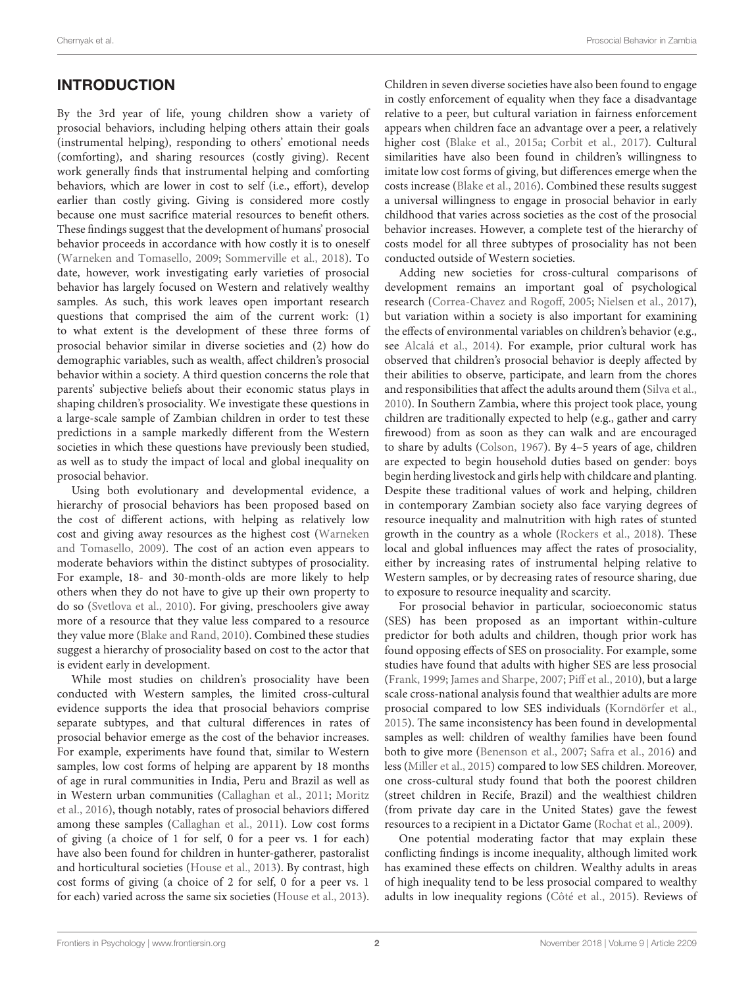# INTRODUCTION

By the 3rd year of life, young children show a variety of prosocial behaviors, including helping others attain their goals (instrumental helping), responding to others' emotional needs (comforting), and sharing resources (costly giving). Recent work generally finds that instrumental helping and comforting behaviors, which are lower in cost to self (i.e., effort), develop earlier than costly giving. Giving is considered more costly because one must sacrifice material resources to benefit others. These findings suggest that the development of humans' prosocial behavior proceeds in accordance with how costly it is to oneself [\(Warneken and Tomasello,](#page-9-0) [2009;](#page-9-0) [Sommerville et al.,](#page-8-3) [2018\)](#page-8-3). To date, however, work investigating early varieties of prosocial behavior has largely focused on Western and relatively wealthy samples. As such, this work leaves open important research questions that comprised the aim of the current work: (1) to what extent is the development of these three forms of prosocial behavior similar in diverse societies and (2) how do demographic variables, such as wealth, affect children's prosocial behavior within a society. A third question concerns the role that parents' subjective beliefs about their economic status plays in shaping children's prosociality. We investigate these questions in a large-scale sample of Zambian children in order to test these predictions in a sample markedly different from the Western societies in which these questions have previously been studied, as well as to study the impact of local and global inequality on prosocial behavior.

Using both evolutionary and developmental evidence, a hierarchy of prosocial behaviors has been proposed based on the cost of different actions, with helping as relatively low cost and giving away resources as the highest cost [\(Warneken](#page-9-0) [and Tomasello,](#page-9-0) [2009\)](#page-9-0). The cost of an action even appears to moderate behaviors within the distinct subtypes of prosociality. For example, 18- and 30-month-olds are more likely to help others when they do not have to give up their own property to do so [\(Svetlova et al.,](#page-8-0) [2010\)](#page-8-0). For giving, preschoolers give away more of a resource that they value less compared to a resource they value more [\(Blake and Rand,](#page-8-4) [2010\)](#page-8-4). Combined these studies suggest a hierarchy of prosociality based on cost to the actor that is evident early in development.

While most studies on children's prosociality have been conducted with Western samples, the limited cross-cultural evidence supports the idea that prosocial behaviors comprise separate subtypes, and that cultural differences in rates of prosocial behavior emerge as the cost of the behavior increases. For example, experiments have found that, similar to Western samples, low cost forms of helping are apparent by 18 months of age in rural communities in India, Peru and Brazil as well as in Western urban communities [\(Callaghan et al.,](#page-8-5) [2011;](#page-8-5) [Moritz](#page-8-6) [et al.,](#page-8-6) [2016\)](#page-8-6), though notably, rates of prosocial behaviors differed among these samples [\(Callaghan et al.,](#page-8-5) [2011\)](#page-8-5). Low cost forms of giving (a choice of 1 for self, 0 for a peer vs. 1 for each) have also been found for children in hunter-gatherer, pastoralist and horticultural societies [\(House et al.,](#page-8-7) [2013\)](#page-8-7). By contrast, high cost forms of giving (a choice of 2 for self, 0 for a peer vs. 1 for each) varied across the same six societies [\(House et al.,](#page-8-7) [2013\)](#page-8-7).

Children in seven diverse societies have also been found to engage in costly enforcement of equality when they face a disadvantage relative to a peer, but cultural variation in fairness enforcement appears when children face an advantage over a peer, a relatively higher cost [\(Blake et al.,](#page-8-8) [2015a;](#page-8-8) [Corbit et al.,](#page-8-9) [2017\)](#page-8-9). Cultural similarities have also been found in children's willingness to imitate low cost forms of giving, but differences emerge when the costs increase [\(Blake et al.,](#page-8-10) [2016\)](#page-8-10). Combined these results suggest a universal willingness to engage in prosocial behavior in early childhood that varies across societies as the cost of the prosocial behavior increases. However, a complete test of the hierarchy of costs model for all three subtypes of prosociality has not been conducted outside of Western societies.

Adding new societies for cross-cultural comparisons of development remains an important goal of psychological research [\(Correa-Chavez and Rogoff,](#page-8-11) [2005;](#page-8-11) [Nielsen et al.,](#page-8-12) [2017\)](#page-8-12), but variation within a society is also important for examining the effects of environmental variables on children's behavior (e.g., see [Alcalá et al.,](#page-8-13) [2014\)](#page-8-13). For example, prior cultural work has observed that children's prosocial behavior is deeply affected by their abilities to observe, participate, and learn from the chores and responsibilities that affect the adults around them [\(Silva et al.,](#page-8-14) [2010\)](#page-8-14). In Southern Zambia, where this project took place, young children are traditionally expected to help (e.g., gather and carry firewood) from as soon as they can walk and are encouraged to share by adults [\(Colson,](#page-8-15) [1967\)](#page-8-15). By 4–5 years of age, children are expected to begin household duties based on gender: boys begin herding livestock and girls help with childcare and planting. Despite these traditional values of work and helping, children in contemporary Zambian society also face varying degrees of resource inequality and malnutrition with high rates of stunted growth in the country as a whole [\(Rockers et al.,](#page-8-16) [2018\)](#page-8-16). These local and global influences may affect the rates of prosociality, either by increasing rates of instrumental helping relative to Western samples, or by decreasing rates of resource sharing, due to exposure to resource inequality and scarcity.

For prosocial behavior in particular, socioeconomic status (SES) has been proposed as an important within-culture predictor for both adults and children, though prior work has found opposing effects of SES on prosociality. For example, some studies have found that adults with higher SES are less prosocial [\(Frank,](#page-8-17) [1999;](#page-8-17) [James and Sharpe,](#page-8-18) [2007;](#page-8-18) [Piff et al.,](#page-8-19) [2010\)](#page-8-19), but a large scale cross-national analysis found that wealthier adults are more prosocial compared to low SES individuals [\(Korndörfer et al.,](#page-8-20) [2015\)](#page-8-20). The same inconsistency has been found in developmental samples as well: children of wealthy families have been found both to give more [\(Benenson et al.,](#page-8-21) [2007;](#page-8-21) [Safra et al.,](#page-8-22) [2016\)](#page-8-22) and less [\(Miller et al.,](#page-8-23) [2015\)](#page-8-23) compared to low SES children. Moreover, one cross-cultural study found that both the poorest children (street children in Recife, Brazil) and the wealthiest children (from private day care in the United States) gave the fewest resources to a recipient in a Dictator Game [\(Rochat et al.,](#page-8-24) [2009\)](#page-8-24).

One potential moderating factor that may explain these conflicting findings is income inequality, although limited work has examined these effects on children. Wealthy adults in areas of high inequality tend to be less prosocial compared to wealthy adults in low inequality regions [\(Côté et al.,](#page-8-25) [2015\)](#page-8-25). Reviews of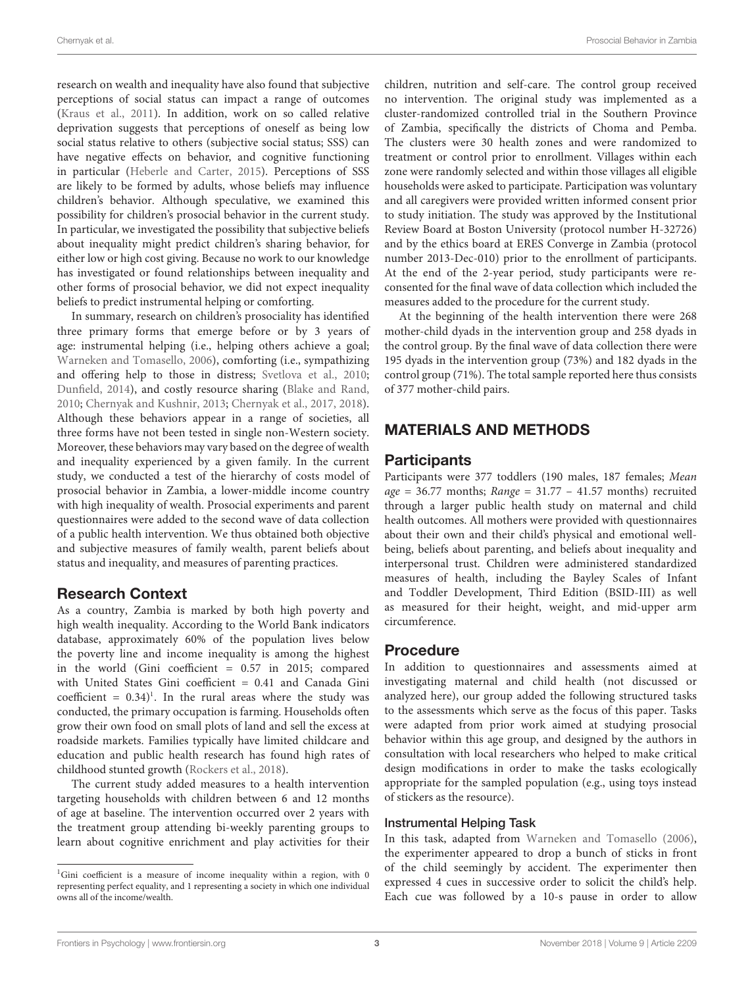research on wealth and inequality have also found that subjective perceptions of social status can impact a range of outcomes [\(Kraus et al.,](#page-8-26) [2011\)](#page-8-26). In addition, work on so called relative deprivation suggests that perceptions of oneself as being low social status relative to others (subjective social status; SSS) can have negative effects on behavior, and cognitive functioning in particular [\(Heberle and Carter,](#page-8-27) [2015\)](#page-8-27). Perceptions of SSS are likely to be formed by adults, whose beliefs may influence children's behavior. Although speculative, we examined this possibility for children's prosocial behavior in the current study. In particular, we investigated the possibility that subjective beliefs about inequality might predict children's sharing behavior, for either low or high cost giving. Because no work to our knowledge has investigated or found relationships between inequality and other forms of prosocial behavior, we did not expect inequality beliefs to predict instrumental helping or comforting.

In summary, research on children's prosociality has identified three primary forms that emerge before or by 3 years of age: instrumental helping (i.e., helping others achieve a goal; [Warneken and Tomasello,](#page-8-28) [2006\)](#page-8-28), comforting (i.e., sympathizing and offering help to those in distress; [Svetlova et al.,](#page-8-0) [2010;](#page-8-0) [Dunfield,](#page-8-29) [2014\)](#page-8-29), and costly resource sharing [\(Blake and Rand,](#page-8-4) [2010;](#page-8-4) [Chernyak and Kushnir,](#page-8-30) [2013;](#page-8-30) [Chernyak et al.,](#page-8-31) [2017,](#page-8-31) [2018\)](#page-8-32). Although these behaviors appear in a range of societies, all three forms have not been tested in single non-Western society. Moreover, these behaviors may vary based on the degree of wealth and inequality experienced by a given family. In the current study, we conducted a test of the hierarchy of costs model of prosocial behavior in Zambia, a lower-middle income country with high inequality of wealth. Prosocial experiments and parent questionnaires were added to the second wave of data collection of a public health intervention. We thus obtained both objective and subjective measures of family wealth, parent beliefs about status and inequality, and measures of parenting practices.

## Research Context

As a country, Zambia is marked by both high poverty and high wealth inequality. According to the World Bank indicators database, approximately 60% of the population lives below the poverty line and income inequality is among the highest in the world (Gini coefficient = 0.57 in 2015; compared with United States Gini coefficient = 0.41 and Canada Gini coefficient =  $0.34$ <sup>[1](#page-2-0)</sup>. In the rural areas where the study was conducted, the primary occupation is farming. Households often grow their own food on small plots of land and sell the excess at roadside markets. Families typically have limited childcare and education and public health research has found high rates of childhood stunted growth [\(Rockers et al.,](#page-8-16) [2018\)](#page-8-16).

The current study added measures to a health intervention targeting households with children between 6 and 12 months of age at baseline. The intervention occurred over 2 years with the treatment group attending bi-weekly parenting groups to learn about cognitive enrichment and play activities for their children, nutrition and self-care. The control group received no intervention. The original study was implemented as a cluster-randomized controlled trial in the Southern Province of Zambia, specifically the districts of Choma and Pemba. The clusters were 30 health zones and were randomized to treatment or control prior to enrollment. Villages within each zone were randomly selected and within those villages all eligible households were asked to participate. Participation was voluntary and all caregivers were provided written informed consent prior to study initiation. The study was approved by the Institutional Review Board at Boston University (protocol number H-32726) and by the ethics board at ERES Converge in Zambia (protocol number 2013-Dec-010) prior to the enrollment of participants. At the end of the 2-year period, study participants were reconsented for the final wave of data collection which included the measures added to the procedure for the current study.

At the beginning of the health intervention there were 268 mother-child dyads in the intervention group and 258 dyads in the control group. By the final wave of data collection there were 195 dyads in the intervention group (73%) and 182 dyads in the control group (71%). The total sample reported here thus consists of 377 mother-child pairs.

# MATERIALS AND METHODS

## **Participants**

Participants were 377 toddlers (190 males, 187 females; Mean  $age = 36.77$  months;  $Range = 31.77 - 41.57$  months) recruited through a larger public health study on maternal and child health outcomes. All mothers were provided with questionnaires about their own and their child's physical and emotional wellbeing, beliefs about parenting, and beliefs about inequality and interpersonal trust. Children were administered standardized measures of health, including the Bayley Scales of Infant and Toddler Development, Third Edition (BSID-III) as well as measured for their height, weight, and mid-upper arm circumference.

## Procedure

In addition to questionnaires and assessments aimed at investigating maternal and child health (not discussed or analyzed here), our group added the following structured tasks to the assessments which serve as the focus of this paper. Tasks were adapted from prior work aimed at studying prosocial behavior within this age group, and designed by the authors in consultation with local researchers who helped to make critical design modifications in order to make the tasks ecologically appropriate for the sampled population (e.g., using toys instead of stickers as the resource).

## Instrumental Helping Task

In this task, adapted from [Warneken and Tomasello](#page-8-28) [\(2006\)](#page-8-28), the experimenter appeared to drop a bunch of sticks in front of the child seemingly by accident. The experimenter then expressed 4 cues in successive order to solicit the child's help. Each cue was followed by a 10-s pause in order to allow

<span id="page-2-0"></span><sup>&</sup>lt;sup>1</sup>Gini coefficient is a measure of income inequality within a region, with 0 representing perfect equality, and 1 representing a society in which one individual owns all of the income/wealth.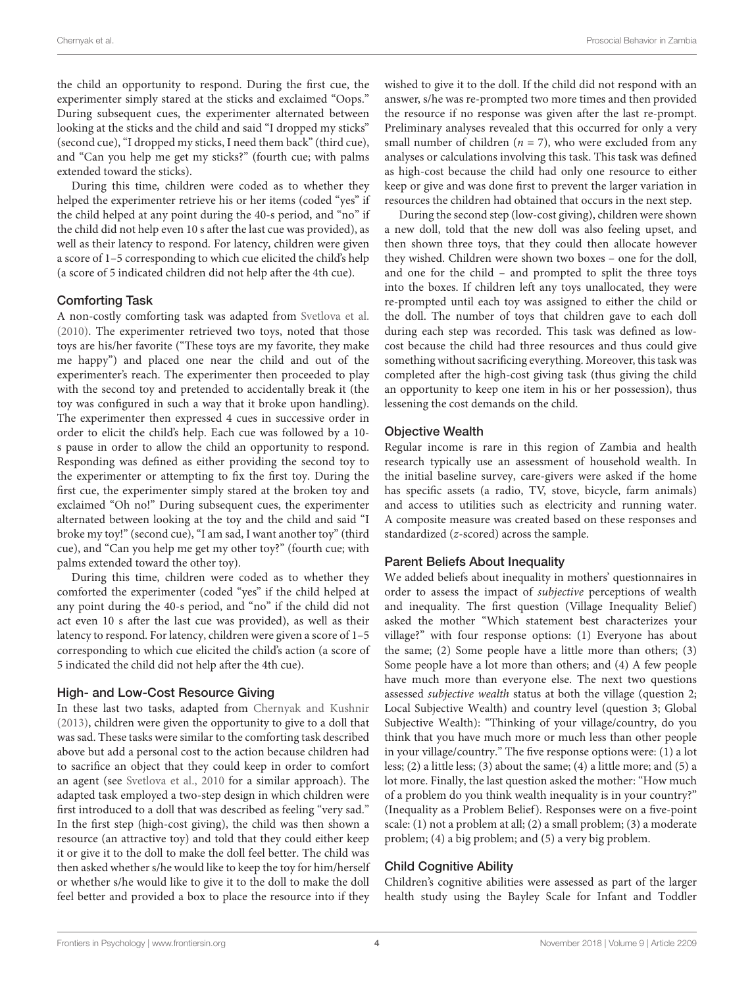the child an opportunity to respond. During the first cue, the experimenter simply stared at the sticks and exclaimed "Oops." During subsequent cues, the experimenter alternated between looking at the sticks and the child and said "I dropped my sticks" (second cue), "I dropped my sticks, I need them back" (third cue), and "Can you help me get my sticks?" (fourth cue; with palms extended toward the sticks).

During this time, children were coded as to whether they helped the experimenter retrieve his or her items (coded "yes" if the child helped at any point during the 40-s period, and "no" if the child did not help even 10 s after the last cue was provided), as well as their latency to respond. For latency, children were given a score of 1–5 corresponding to which cue elicited the child's help (a score of 5 indicated children did not help after the 4th cue).

#### Comforting Task

A non-costly comforting task was adapted from [Svetlova et al.](#page-8-0) [\(2010\)](#page-8-0). The experimenter retrieved two toys, noted that those toys are his/her favorite ("These toys are my favorite, they make me happy") and placed one near the child and out of the experimenter's reach. The experimenter then proceeded to play with the second toy and pretended to accidentally break it (the toy was configured in such a way that it broke upon handling). The experimenter then expressed 4 cues in successive order in order to elicit the child's help. Each cue was followed by a 10 s pause in order to allow the child an opportunity to respond. Responding was defined as either providing the second toy to the experimenter or attempting to fix the first toy. During the first cue, the experimenter simply stared at the broken toy and exclaimed "Oh no!" During subsequent cues, the experimenter alternated between looking at the toy and the child and said "I broke my toy!" (second cue), "I am sad, I want another toy" (third cue), and "Can you help me get my other toy?" (fourth cue; with palms extended toward the other toy).

During this time, children were coded as to whether they comforted the experimenter (coded "yes" if the child helped at any point during the 40-s period, and "no" if the child did not act even 10 s after the last cue was provided), as well as their latency to respond. For latency, children were given a score of 1–5 corresponding to which cue elicited the child's action (a score of 5 indicated the child did not help after the 4th cue).

#### High- and Low-Cost Resource Giving

In these last two tasks, adapted from [Chernyak and Kushnir](#page-8-30) [\(2013\)](#page-8-30), children were given the opportunity to give to a doll that was sad. These tasks were similar to the comforting task described above but add a personal cost to the action because children had to sacrifice an object that they could keep in order to comfort an agent (see [Svetlova et al.,](#page-8-0) [2010](#page-8-0) for a similar approach). The adapted task employed a two-step design in which children were first introduced to a doll that was described as feeling "very sad." In the first step (high-cost giving), the child was then shown a resource (an attractive toy) and told that they could either keep it or give it to the doll to make the doll feel better. The child was then asked whether s/he would like to keep the toy for him/herself or whether s/he would like to give it to the doll to make the doll feel better and provided a box to place the resource into if they

wished to give it to the doll. If the child did not respond with an answer, s/he was re-prompted two more times and then provided the resource if no response was given after the last re-prompt. Preliminary analyses revealed that this occurred for only a very small number of children ( $n = 7$ ), who were excluded from any analyses or calculations involving this task. This task was defined as high-cost because the child had only one resource to either keep or give and was done first to prevent the larger variation in resources the children had obtained that occurs in the next step.

During the second step (low-cost giving), children were shown a new doll, told that the new doll was also feeling upset, and then shown three toys, that they could then allocate however they wished. Children were shown two boxes – one for the doll, and one for the child – and prompted to split the three toys into the boxes. If children left any toys unallocated, they were re-prompted until each toy was assigned to either the child or the doll. The number of toys that children gave to each doll during each step was recorded. This task was defined as lowcost because the child had three resources and thus could give something without sacrificing everything. Moreover, this task was completed after the high-cost giving task (thus giving the child an opportunity to keep one item in his or her possession), thus lessening the cost demands on the child.

## Objective Wealth

Regular income is rare in this region of Zambia and health research typically use an assessment of household wealth. In the initial baseline survey, care-givers were asked if the home has specific assets (a radio, TV, stove, bicycle, farm animals) and access to utilities such as electricity and running water. A composite measure was created based on these responses and standardized (z-scored) across the sample.

## Parent Beliefs About Inequality

We added beliefs about inequality in mothers' questionnaires in order to assess the impact of subjective perceptions of wealth and inequality. The first question (Village Inequality Belief) asked the mother "Which statement best characterizes your village?" with four response options: (1) Everyone has about the same; (2) Some people have a little more than others; (3) Some people have a lot more than others; and (4) A few people have much more than everyone else. The next two questions assessed subjective wealth status at both the village (question 2; Local Subjective Wealth) and country level (question 3; Global Subjective Wealth): "Thinking of your village/country, do you think that you have much more or much less than other people in your village/country." The five response options were: (1) a lot less; (2) a little less; (3) about the same; (4) a little more; and (5) a lot more. Finally, the last question asked the mother: "How much of a problem do you think wealth inequality is in your country?" (Inequality as a Problem Belief). Responses were on a five-point scale: (1) not a problem at all; (2) a small problem; (3) a moderate problem; (4) a big problem; and (5) a very big problem.

#### Child Cognitive Ability

Children's cognitive abilities were assessed as part of the larger health study using the Bayley Scale for Infant and Toddler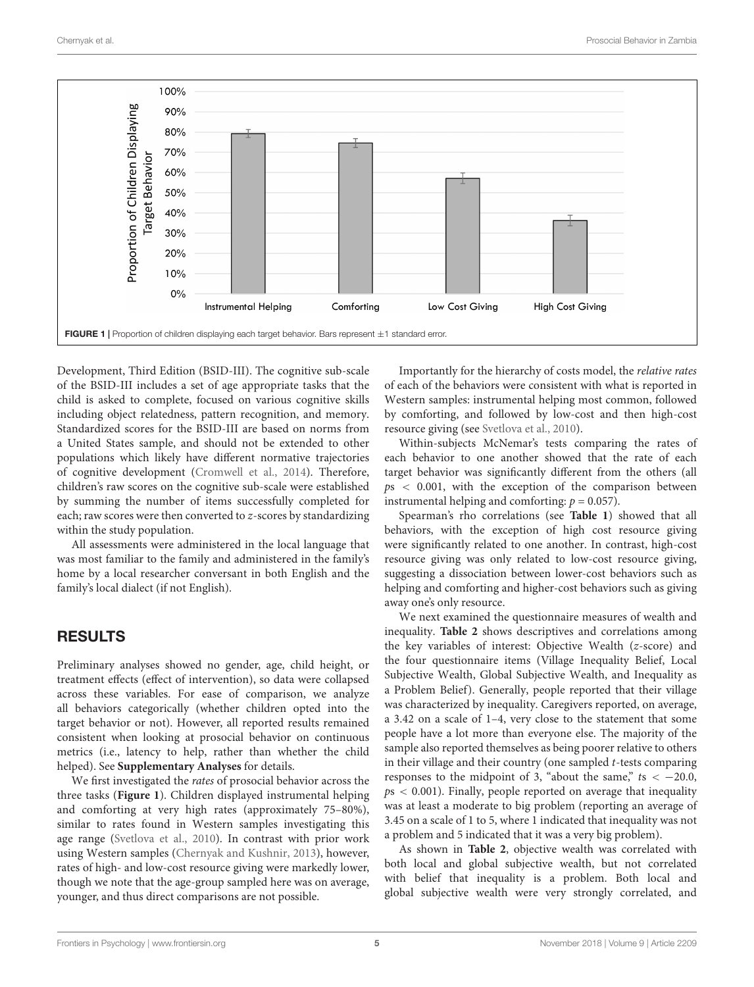

<span id="page-4-0"></span>Development, Third Edition (BSID-III). The cognitive sub-scale of the BSID-III includes a set of age appropriate tasks that the child is asked to complete, focused on various cognitive skills including object relatedness, pattern recognition, and memory. Standardized scores for the BSID-III are based on norms from a United States sample, and should not be extended to other populations which likely have different normative trajectories of cognitive development [\(Cromwell et al.,](#page-8-33) [2014\)](#page-8-33). Therefore, children's raw scores on the cognitive sub-scale were established by summing the number of items successfully completed for each; raw scores were then converted to z-scores by standardizing within the study population.

All assessments were administered in the local language that was most familiar to the family and administered in the family's home by a local researcher conversant in both English and the family's local dialect (if not English).

# RESULTS

Preliminary analyses showed no gender, age, child height, or treatment effects (effect of intervention), so data were collapsed across these variables. For ease of comparison, we analyze all behaviors categorically (whether children opted into the target behavior or not). However, all reported results remained consistent when looking at prosocial behavior on continuous metrics (i.e., latency to help, rather than whether the child helped). See **[Supplementary Analyses](#page-7-0)** for details.

We first investigated the rates of prosocial behavior across the three tasks (**[Figure 1](#page-4-0)**). Children displayed instrumental helping and comforting at very high rates (approximately 75–80%), similar to rates found in Western samples investigating this age range [\(Svetlova et al.,](#page-8-0) [2010\)](#page-8-0). In contrast with prior work using Western samples [\(Chernyak and Kushnir,](#page-8-30) [2013\)](#page-8-30), however, rates of high- and low-cost resource giving were markedly lower, though we note that the age-group sampled here was on average, younger, and thus direct comparisons are not possible.

Importantly for the hierarchy of costs model, the relative rates of each of the behaviors were consistent with what is reported in Western samples: instrumental helping most common, followed by comforting, and followed by low-cost and then high-cost resource giving (see [Svetlova et al.,](#page-8-0) [2010\)](#page-8-0).

Within-subjects McNemar's tests comparing the rates of each behavior to one another showed that the rate of each target behavior was significantly different from the others (all  $ps < 0.001$ , with the exception of the comparison between instrumental helping and comforting:  $p = 0.057$ ).

Spearman's rho correlations (see **[Table 1](#page-5-0)**) showed that all behaviors, with the exception of high cost resource giving were significantly related to one another. In contrast, high-cost resource giving was only related to low-cost resource giving, suggesting a dissociation between lower-cost behaviors such as helping and comforting and higher-cost behaviors such as giving away one's only resource.

We next examined the questionnaire measures of wealth and inequality. **[Table 2](#page-5-1)** shows descriptives and correlations among the key variables of interest: Objective Wealth (z-score) and the four questionnaire items (Village Inequality Belief, Local Subjective Wealth, Global Subjective Wealth, and Inequality as a Problem Belief). Generally, people reported that their village was characterized by inequality. Caregivers reported, on average, a 3.42 on a scale of 1–4, very close to the statement that some people have a lot more than everyone else. The majority of the sample also reported themselves as being poorer relative to others in their village and their country (one sampled t-tests comparing responses to the midpoint of 3, "about the same,"  $ts < -20.0$ ,  $ps < 0.001$ ). Finally, people reported on average that inequality was at least a moderate to big problem (reporting an average of 3.45 on a scale of 1 to 5, where 1 indicated that inequality was not a problem and 5 indicated that it was a very big problem).

As shown in **[Table 2](#page-5-1)**, objective wealth was correlated with both local and global subjective wealth, but not correlated with belief that inequality is a problem. Both local and global subjective wealth were very strongly correlated, and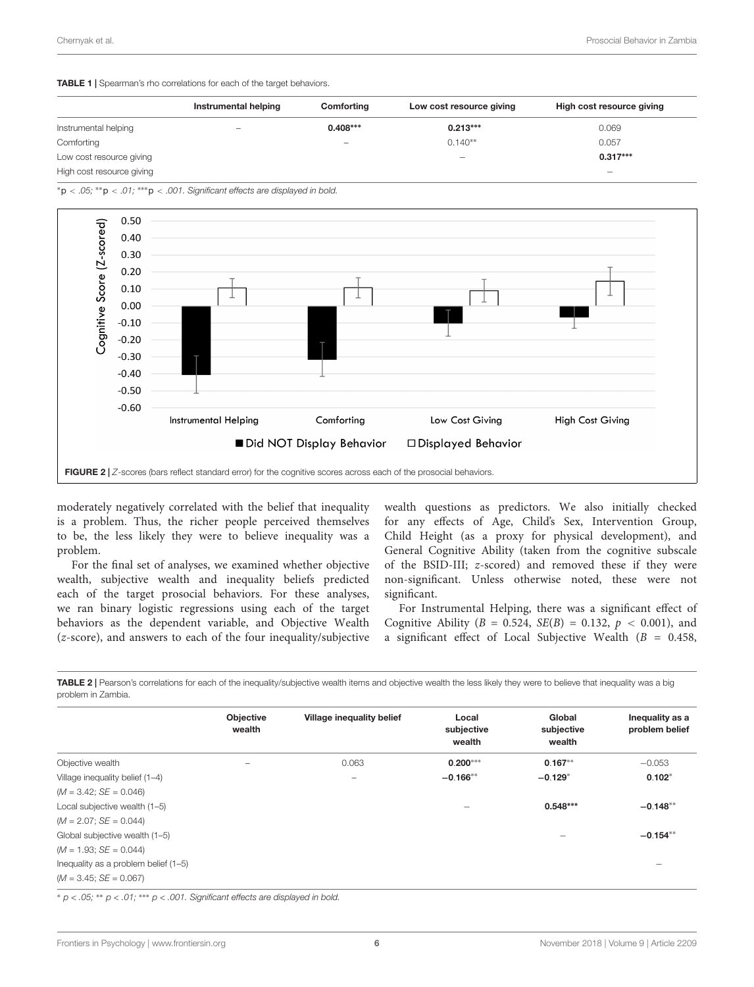#### <span id="page-5-0"></span>TABLE 1 | Spearman's rho correlations for each of the target behaviors.

|                           | Instrumental helping | Comforting               | Low cost resource giving | High cost resource giving |  |
|---------------------------|----------------------|--------------------------|--------------------------|---------------------------|--|
| Instrumental helping      |                      | $0.408***$               | $0.213***$               | 0.069                     |  |
| Comforting                |                      | $\overline{\phantom{a}}$ | $0.140**$                | 0.057                     |  |
| Low cost resource giving  |                      |                          | $\qquad \qquad -$        | $0.317***$                |  |
| High cost resource giving |                      |                          |                          | $\qquad \qquad -$         |  |

<sup>∗</sup>p < .05; ∗∗p < .01; ∗∗∗p < .001. Significant effects are displayed in bold.



<span id="page-5-2"></span>moderately negatively correlated with the belief that inequality is a problem. Thus, the richer people perceived themselves to be, the less likely they were to believe inequality was a problem.

For the final set of analyses, we examined whether objective wealth, subjective wealth and inequality beliefs predicted each of the target prosocial behaviors. For these analyses, we ran binary logistic regressions using each of the target behaviors as the dependent variable, and Objective Wealth (z-score), and answers to each of the four inequality/subjective wealth questions as predictors. We also initially checked for any effects of Age, Child's Sex, Intervention Group, Child Height (as a proxy for physical development), and General Cognitive Ability (taken from the cognitive subscale of the BSID-III; z-scored) and removed these if they were non-significant. Unless otherwise noted, these were not significant.

For Instrumental Helping, there was a significant effect of Cognitive Ability ( $B = 0.524$ ,  $SE(B) = 0.132$ ,  $p < 0.001$ ), and a significant effect of Local Subjective Wealth  $(B = 0.458,$ 

<span id="page-5-1"></span>TABLE 2 | Pearson's correlations for each of the inequality/subjective wealth items and objective wealth the less likely they were to believe that inequality was a big problem in Zambia.

|                                      | <b>Objective</b><br>wealth | Village inequality belief | Local<br>subjective<br>wealth | Global<br>subjective<br>wealth | Inequality as a<br>problem belief |
|--------------------------------------|----------------------------|---------------------------|-------------------------------|--------------------------------|-----------------------------------|
| Objective wealth                     | $\qquad \qquad$            | 0.063                     | $0.200***$                    | $0.167***$                     | $-0.053$                          |
| Village inequality belief (1-4)      |                            | -                         | $-0.166***$                   | $-0.129*$                      | $0.102*$                          |
| $(M = 3.42; SE = 0.046)$             |                            |                           |                               |                                |                                   |
| Local subjective wealth (1-5)        |                            |                           |                               | $0.548***$                     | $-0.148**$                        |
| $(M = 2.07; SE = 0.044)$             |                            |                           |                               |                                |                                   |
| Global subjective wealth (1-5)       |                            |                           |                               |                                | $-0.154**$                        |
| $(M = 1.93; SE = 0.044)$             |                            |                           |                               |                                |                                   |
| Inequality as a problem belief (1-5) |                            |                           |                               |                                |                                   |
| $(M = 3.45; SE = 0.067)$             |                            |                           |                               |                                |                                   |

<sup>∗</sup> p < .05; ∗∗ p < .01; ∗∗∗ p < .001. Significant effects are displayed in bold.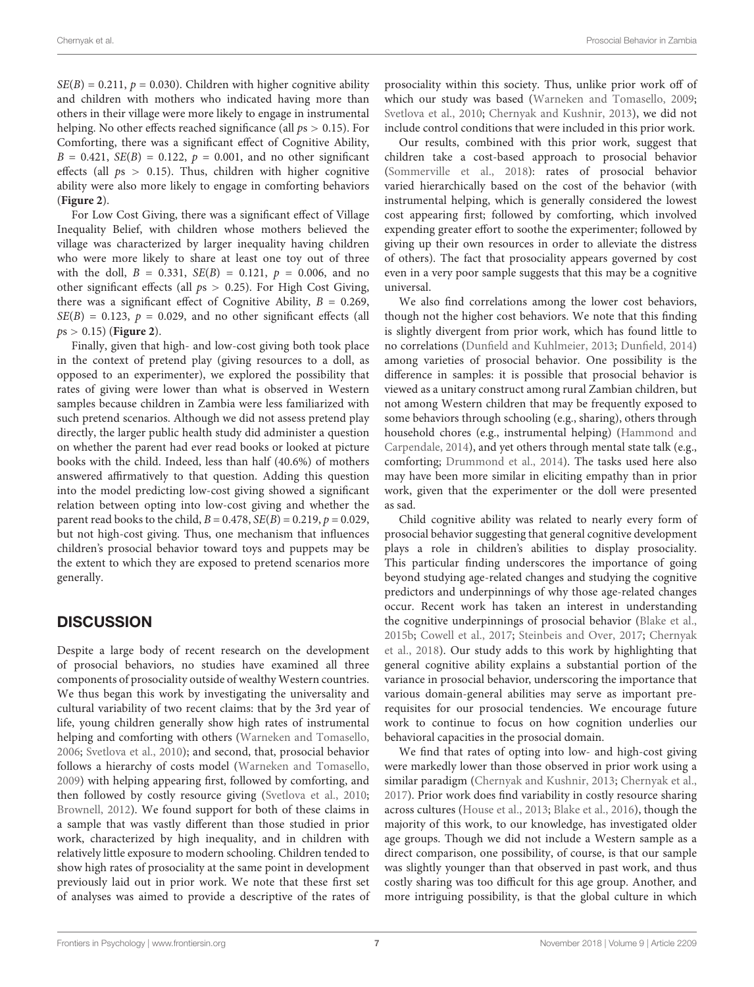$SE(B) = 0.211$ ,  $p = 0.030$ . Children with higher cognitive ability and children with mothers who indicated having more than others in their village were more likely to engage in instrumental helping. No other effects reached significance (all  $ps > 0.15$ ). For Comforting, there was a significant effect of Cognitive Ability,  $B = 0.421$ ,  $SE(B) = 0.122$ ,  $p = 0.001$ , and no other significant effects (all  $ps > 0.15$ ). Thus, children with higher cognitive ability were also more likely to engage in comforting behaviors (**[Figure 2](#page-5-2)**).

For Low Cost Giving, there was a significant effect of Village Inequality Belief, with children whose mothers believed the village was characterized by larger inequality having children who were more likely to share at least one toy out of three with the doll,  $B = 0.331$ ,  $SE(B) = 0.121$ ,  $p = 0.006$ , and no other significant effects (all  $ps > 0.25$ ). For High Cost Giving, there was a significant effect of Cognitive Ability,  $B = 0.269$ ,  $SE(B) = 0.123$ ,  $p = 0.029$ , and no other significant effects (all ps > 0.15) (**[Figure 2](#page-5-2)**).

Finally, given that high- and low-cost giving both took place in the context of pretend play (giving resources to a doll, as opposed to an experimenter), we explored the possibility that rates of giving were lower than what is observed in Western samples because children in Zambia were less familiarized with such pretend scenarios. Although we did not assess pretend play directly, the larger public health study did administer a question on whether the parent had ever read books or looked at picture books with the child. Indeed, less than half (40.6%) of mothers answered affirmatively to that question. Adding this question into the model predicting low-cost giving showed a significant relation between opting into low-cost giving and whether the parent read books to the child,  $B = 0.478$ ,  $SE(B) = 0.219$ ,  $p = 0.029$ , but not high-cost giving. Thus, one mechanism that influences children's prosocial behavior toward toys and puppets may be the extent to which they are exposed to pretend scenarios more generally.

# **DISCUSSION**

Despite a large body of recent research on the development of prosocial behaviors, no studies have examined all three components of prosociality outside of wealthy Western countries. We thus began this work by investigating the universality and cultural variability of two recent claims: that by the 3rd year of life, young children generally show high rates of instrumental helping and comforting with others [\(Warneken and Tomasello,](#page-8-28) [2006;](#page-8-28) [Svetlova et al.,](#page-8-0) [2010\)](#page-8-0); and second, that, prosocial behavior follows a hierarchy of costs model [\(Warneken and Tomasello,](#page-9-0) [2009\)](#page-9-0) with helping appearing first, followed by comforting, and then followed by costly resource giving [\(Svetlova et al.,](#page-8-0) [2010;](#page-8-0) [Brownell,](#page-8-34) [2012\)](#page-8-34). We found support for both of these claims in a sample that was vastly different than those studied in prior work, characterized by high inequality, and in children with relatively little exposure to modern schooling. Children tended to show high rates of prosociality at the same point in development previously laid out in prior work. We note that these first set of analyses was aimed to provide a descriptive of the rates of

prosociality within this society. Thus, unlike prior work off of which our study was based [\(Warneken and Tomasello,](#page-9-0) [2009;](#page-9-0) [Svetlova et al.,](#page-8-0) [2010;](#page-8-0) [Chernyak and Kushnir,](#page-8-30) [2013\)](#page-8-30), we did not include control conditions that were included in this prior work.

Our results, combined with this prior work, suggest that children take a cost-based approach to prosocial behavior [\(Sommerville et al.,](#page-8-3) [2018\)](#page-8-3): rates of prosocial behavior varied hierarchically based on the cost of the behavior (with instrumental helping, which is generally considered the lowest cost appearing first; followed by comforting, which involved expending greater effort to soothe the experimenter; followed by giving up their own resources in order to alleviate the distress of others). The fact that prosociality appears governed by cost even in a very poor sample suggests that this may be a cognitive universal.

We also find correlations among the lower cost behaviors, though not the higher cost behaviors. We note that this finding is slightly divergent from prior work, which has found little to no correlations [\(Dunfield and Kuhlmeier,](#page-8-2) [2013;](#page-8-2) [Dunfield,](#page-8-29) [2014\)](#page-8-29) among varieties of prosocial behavior. One possibility is the difference in samples: it is possible that prosocial behavior is viewed as a unitary construct among rural Zambian children, but not among Western children that may be frequently exposed to some behaviors through schooling (e.g., sharing), others through household chores (e.g., instrumental helping) [\(Hammond and](#page-8-35) [Carpendale,](#page-8-35) [2014\)](#page-8-35), and yet others through mental state talk (e.g., comforting; [Drummond et al.,](#page-8-36) [2014\)](#page-8-36). The tasks used here also may have been more similar in eliciting empathy than in prior work, given that the experimenter or the doll were presented as sad.

Child cognitive ability was related to nearly every form of prosocial behavior suggesting that general cognitive development plays a role in children's abilities to display prosociality. This particular finding underscores the importance of going beyond studying age-related changes and studying the cognitive predictors and underpinnings of why those age-related changes occur. Recent work has taken an interest in understanding the cognitive underpinnings of prosocial behavior [\(Blake et al.,](#page-8-37) [2015b;](#page-8-37) [Cowell et al.,](#page-8-38) [2017;](#page-8-38) [Steinbeis and Over,](#page-8-39) [2017;](#page-8-39) [Chernyak](#page-8-32) [et al.,](#page-8-32) [2018\)](#page-8-32). Our study adds to this work by highlighting that general cognitive ability explains a substantial portion of the variance in prosocial behavior, underscoring the importance that various domain-general abilities may serve as important prerequisites for our prosocial tendencies. We encourage future work to continue to focus on how cognition underlies our behavioral capacities in the prosocial domain.

We find that rates of opting into low- and high-cost giving were markedly lower than those observed in prior work using a similar paradigm [\(Chernyak and Kushnir,](#page-8-30) [2013;](#page-8-30) [Chernyak et al.,](#page-8-31) [2017\)](#page-8-31). Prior work does find variability in costly resource sharing across cultures [\(House et al.,](#page-8-7) [2013;](#page-8-7) [Blake et al.,](#page-8-10) [2016\)](#page-8-10), though the majority of this work, to our knowledge, has investigated older age groups. Though we did not include a Western sample as a direct comparison, one possibility, of course, is that our sample was slightly younger than that observed in past work, and thus costly sharing was too difficult for this age group. Another, and more intriguing possibility, is that the global culture in which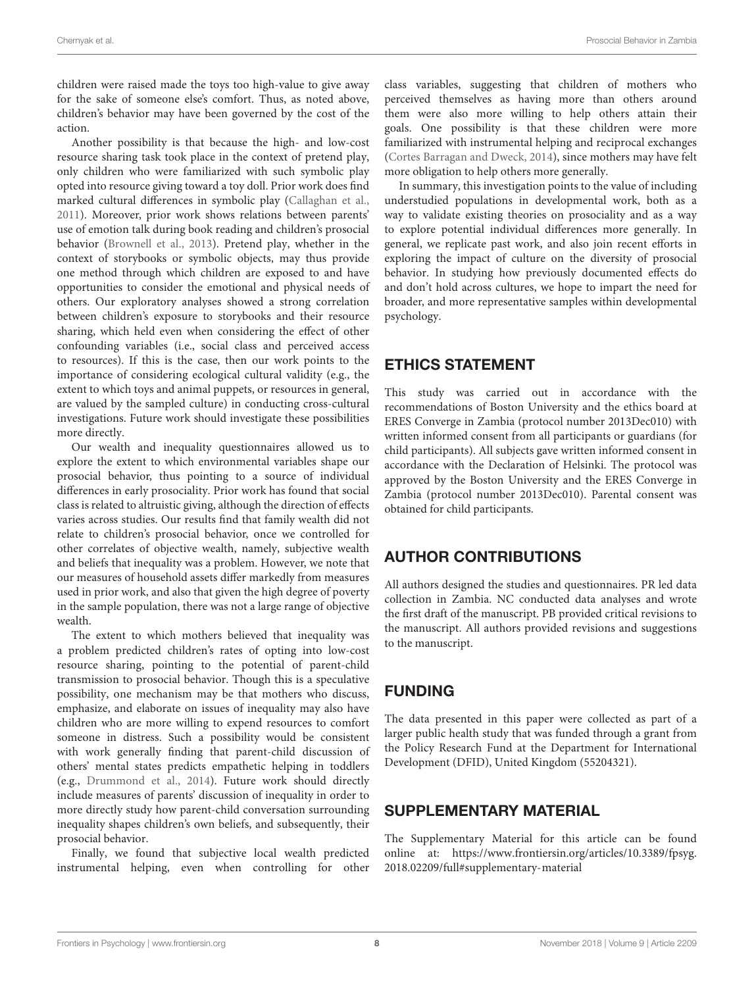children were raised made the toys too high-value to give away for the sake of someone else's comfort. Thus, as noted above, children's behavior may have been governed by the cost of the action.

Another possibility is that because the high- and low-cost resource sharing task took place in the context of pretend play, only children who were familiarized with such symbolic play opted into resource giving toward a toy doll. Prior work does find marked cultural differences in symbolic play [\(Callaghan et al.,](#page-8-5) [2011\)](#page-8-5). Moreover, prior work shows relations between parents' use of emotion talk during book reading and children's prosocial behavior [\(Brownell et al.,](#page-8-40) [2013\)](#page-8-40). Pretend play, whether in the context of storybooks or symbolic objects, may thus provide one method through which children are exposed to and have opportunities to consider the emotional and physical needs of others. Our exploratory analyses showed a strong correlation between children's exposure to storybooks and their resource sharing, which held even when considering the effect of other confounding variables (i.e., social class and perceived access to resources). If this is the case, then our work points to the importance of considering ecological cultural validity (e.g., the extent to which toys and animal puppets, or resources in general, are valued by the sampled culture) in conducting cross-cultural investigations. Future work should investigate these possibilities more directly.

Our wealth and inequality questionnaires allowed us to explore the extent to which environmental variables shape our prosocial behavior, thus pointing to a source of individual differences in early prosociality. Prior work has found that social class is related to altruistic giving, although the direction of effects varies across studies. Our results find that family wealth did not relate to children's prosocial behavior, once we controlled for other correlates of objective wealth, namely, subjective wealth and beliefs that inequality was a problem. However, we note that our measures of household assets differ markedly from measures used in prior work, and also that given the high degree of poverty in the sample population, there was not a large range of objective wealth.

The extent to which mothers believed that inequality was a problem predicted children's rates of opting into low-cost resource sharing, pointing to the potential of parent-child transmission to prosocial behavior. Though this is a speculative possibility, one mechanism may be that mothers who discuss, emphasize, and elaborate on issues of inequality may also have children who are more willing to expend resources to comfort someone in distress. Such a possibility would be consistent with work generally finding that parent-child discussion of others' mental states predicts empathetic helping in toddlers (e.g., [Drummond et al.,](#page-8-36) [2014\)](#page-8-36). Future work should directly include measures of parents' discussion of inequality in order to more directly study how parent-child conversation surrounding inequality shapes children's own beliefs, and subsequently, their prosocial behavior.

Finally, we found that subjective local wealth predicted instrumental helping, even when controlling for other

class variables, suggesting that children of mothers who perceived themselves as having more than others around them were also more willing to help others attain their goals. One possibility is that these children were more familiarized with instrumental helping and reciprocal exchanges [\(Cortes Barragan and Dweck,](#page-8-41) [2014\)](#page-8-41), since mothers may have felt more obligation to help others more generally.

In summary, this investigation points to the value of including understudied populations in developmental work, both as a way to validate existing theories on prosociality and as a way to explore potential individual differences more generally. In general, we replicate past work, and also join recent efforts in exploring the impact of culture on the diversity of prosocial behavior. In studying how previously documented effects do and don't hold across cultures, we hope to impart the need for broader, and more representative samples within developmental psychology.

# ETHICS STATEMENT

This study was carried out in accordance with the recommendations of Boston University and the ethics board at ERES Converge in Zambia (protocol number 2013Dec010) with written informed consent from all participants or guardians (for child participants). All subjects gave written informed consent in accordance with the Declaration of Helsinki. The protocol was approved by the Boston University and the ERES Converge in Zambia (protocol number 2013Dec010). Parental consent was obtained for child participants.

# AUTHOR CONTRIBUTIONS

All authors designed the studies and questionnaires. PR led data collection in Zambia. NC conducted data analyses and wrote the first draft of the manuscript. PB provided critical revisions to the manuscript. All authors provided revisions and suggestions to the manuscript.

# FUNDING

The data presented in this paper were collected as part of a larger public health study that was funded through a grant from the Policy Research Fund at the Department for International Development (DFID), United Kingdom (55204321).

# <span id="page-7-0"></span>SUPPLEMENTARY MATERIAL

The Supplementary Material for this article can be found online at: [https://www.frontiersin.org/articles/10.3389/fpsyg.](https://www.frontiersin.org/articles/10.3389/fpsyg.2018.02209/full#supplementary-material) [2018.02209/full#supplementary-material](https://www.frontiersin.org/articles/10.3389/fpsyg.2018.02209/full#supplementary-material)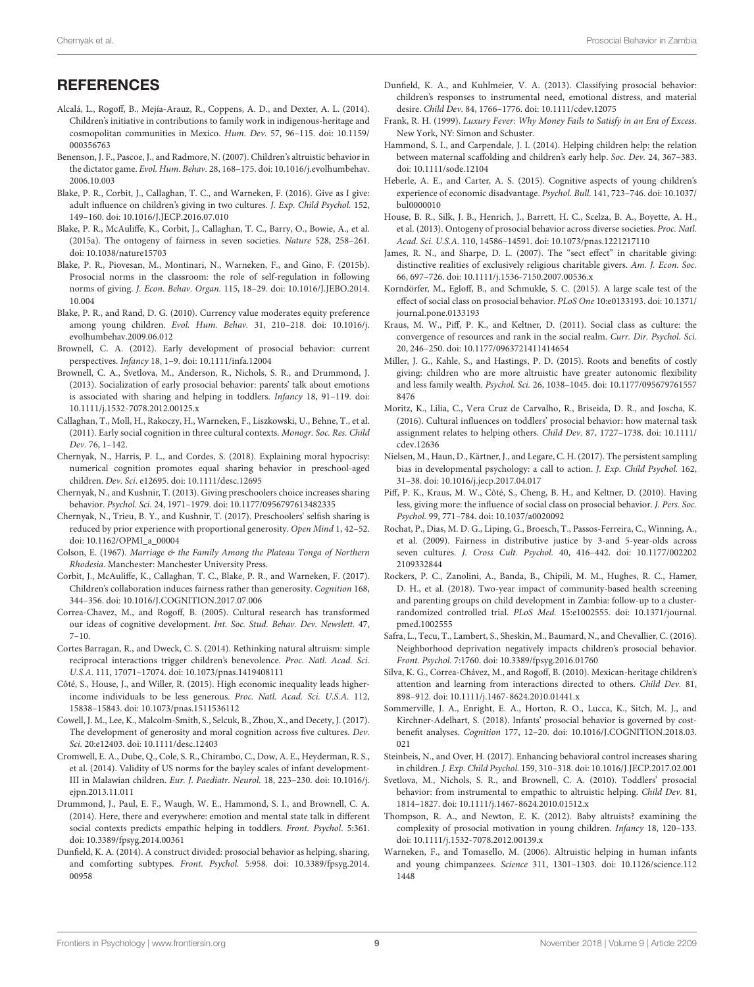## **REFERENCES**

- <span id="page-8-13"></span>Alcalá, L., Rogoff, B., Mejía-Arauz, R., Coppens, A. D., and Dexter, A. L. (2014). Children's initiative in contributions to family work in indigenous-heritage and cosmopolitan communities in Mexico. Hum. Dev. 57, 96–115. [doi: 10.1159/](https://doi.org/10.1159/000356763) [000356763](https://doi.org/10.1159/000356763)
- <span id="page-8-21"></span>Benenson, J. F., Pascoe, J., and Radmore, N. (2007). Children's altruistic behavior in the dictator game. Evol. Hum. Behav. 28, 168–175. [doi: 10.1016/j.evolhumbehav.](https://doi.org/10.1016/j.evolhumbehav.2006.10.003) [2006.10.003](https://doi.org/10.1016/j.evolhumbehav.2006.10.003)
- <span id="page-8-10"></span>Blake, P. R., Corbit, J., Callaghan, T. C., and Warneken, F. (2016). Give as I give: adult influence on children's giving in two cultures. J. Exp. Child Psychol. 152, 149–160. [doi: 10.1016/J.JECP.2016.07.010](https://doi.org/10.1016/J.JECP.2016.07.010)
- <span id="page-8-8"></span>Blake, P. R., McAuliffe, K., Corbit, J., Callaghan, T. C., Barry, O., Bowie, A., et al. (2015a). The ontogeny of fairness in seven societies. Nature 528, 258–261. [doi: 10.1038/nature15703](https://doi.org/10.1038/nature15703)
- <span id="page-8-37"></span>Blake, P. R., Piovesan, M., Montinari, N., Warneken, F., and Gino, F. (2015b). Prosocial norms in the classroom: the role of self-regulation in following norms of giving. J. Econ. Behav. Organ. 115, 18–29. [doi: 10.1016/J.JEBO.2014.](https://doi.org/10.1016/J.JEBO.2014.10.004) [10.004](https://doi.org/10.1016/J.JEBO.2014.10.004)
- <span id="page-8-4"></span>Blake, P. R., and Rand, D. G. (2010). Currency value moderates equity preference among young children. Evol. Hum. Behav. 31, 210–218. [doi: 10.1016/j.](https://doi.org/10.1016/j.evolhumbehav.2009.06.012) [evolhumbehav.2009.06.012](https://doi.org/10.1016/j.evolhumbehav.2009.06.012)
- <span id="page-8-34"></span>Brownell, C. A. (2012). Early development of prosocial behavior: current perspectives. Infancy 18, 1–9. [doi: 10.1111/infa.12004](https://doi.org/10.1111/infa.12004)
- <span id="page-8-40"></span>Brownell, C. A., Svetlova, M., Anderson, R., Nichols, S. R., and Drummond, J. (2013). Socialization of early prosocial behavior: parents' talk about emotions is associated with sharing and helping in toddlers. Infancy 18, 91–119. [doi:](https://doi.org/10.1111/j.1532-7078.2012.00125.x) [10.1111/j.1532-7078.2012.00125.x](https://doi.org/10.1111/j.1532-7078.2012.00125.x)
- <span id="page-8-5"></span>Callaghan, T., Moll, H., Rakoczy, H., Warneken, F., Liszkowski, U., Behne, T., et al. (2011). Early social cognition in three cultural contexts. Monogr. Soc. Res. Child Dev. 76, 1–142.
- <span id="page-8-32"></span>Chernyak, N., Harris, P. L., and Cordes, S. (2018). Explaining moral hypocrisy: numerical cognition promotes equal sharing behavior in preschool-aged children. Dev. Sci. e12695. [doi: 10.1111/desc.12695](https://doi.org/10.1111/desc.12695)
- <span id="page-8-30"></span>Chernyak, N., and Kushnir, T. (2013). Giving preschoolers choice increases sharing behavior. Psychol. Sci. 24, 1971–1979. [doi: 10.1177/0956797613482335](https://doi.org/10.1177/0956797613482335)
- <span id="page-8-31"></span>Chernyak, N., Trieu, B. Y., and Kushnir, T. (2017). Preschoolers' selfish sharing is reduced by prior experience with proportional generosity. Open Mind 1, 42–52. [doi: 10.1162/OPMI\\_a\\_00004](https://doi.org/10.1162/OPMI_a_00004)
- <span id="page-8-15"></span>Colson, E. (1967). Marriage & the Family Among the Plateau Tonga of Northern Rhodesia. Manchester: Manchester University Press.
- <span id="page-8-9"></span>Corbit, J., McAuliffe, K., Callaghan, T. C., Blake, P. R., and Warneken, F. (2017). Children's collaboration induces fairness rather than generosity. Cognition 168, 344–356. [doi: 10.1016/J.COGNITION.2017.07.006](https://doi.org/10.1016/J.COGNITION.2017.07.006)
- <span id="page-8-11"></span>Correa-Chavez, M., and Rogoff, B. (2005). Cultural research has transformed our ideas of cognitive development. Int. Soc. Stud. Behav. Dev. Newslett. 47, 7–10.
- <span id="page-8-41"></span>Cortes Barragan, R., and Dweck, C. S. (2014). Rethinking natural altruism: simple reciprocal interactions trigger children's benevolence. Proc. Natl. Acad. Sci. U.S.A. 111, 17071–17074. [doi: 10.1073/pnas.1419408111](https://doi.org/10.1073/pnas.1419408111)
- <span id="page-8-25"></span>Côté, S., House, J., and Willer, R. (2015). High economic inequality leads higherincome individuals to be less generous. Proc. Natl. Acad. Sci. U.S.A. 112, 15838–15843. [doi: 10.1073/pnas.1511536112](https://doi.org/10.1073/pnas.1511536112)
- <span id="page-8-38"></span>Cowell, J. M., Lee, K., Malcolm-Smith, S., Selcuk, B., Zhou, X., and Decety, J. (2017). The development of generosity and moral cognition across five cultures. Dev. Sci. 20:e12403. [doi: 10.1111/desc.12403](https://doi.org/10.1111/desc.12403)
- <span id="page-8-33"></span>Cromwell, E. A., Dube, Q., Cole, S. R., Chirambo, C., Dow, A. E., Heyderman, R. S., et al. (2014). Validity of US norms for the bayley scales of infant development-III in Malawian children. Eur. J. Paediatr. Neurol. 18, 223–230. [doi: 10.1016/j.](https://doi.org/10.1016/j.ejpn.2013.11.011) [ejpn.2013.11.011](https://doi.org/10.1016/j.ejpn.2013.11.011)
- <span id="page-8-36"></span>Drummond, J., Paul, E. F., Waugh, W. E., Hammond, S. I., and Brownell, C. A. (2014). Here, there and everywhere: emotion and mental state talk in different social contexts predicts empathic helping in toddlers. Front. Psychol. 5:361. [doi: 10.3389/fpsyg.2014.00361](https://doi.org/10.3389/fpsyg.2014.00361)
- <span id="page-8-29"></span>Dunfield, K. A. (2014). A construct divided: prosocial behavior as helping, sharing, and comforting subtypes. Front. Psychol. 5:958. [doi: 10.3389/fpsyg.2014.](https://doi.org/10.3389/fpsyg.2014.00958) [00958](https://doi.org/10.3389/fpsyg.2014.00958)
- <span id="page-8-2"></span>Dunfield, K. A., and Kuhlmeier, V. A. (2013). Classifying prosocial behavior: children's responses to instrumental need, emotional distress, and material desire. Child Dev. 84, 1766–1776. [doi: 10.1111/cdev.12075](https://doi.org/10.1111/cdev.12075)
- <span id="page-8-17"></span>Frank, R. H. (1999). Luxury Fever: Why Money Fails to Satisfy in an Era of Excess. New York, NY: Simon and Schuster.
- <span id="page-8-35"></span>Hammond, S. I., and Carpendale, J. I. (2014). Helping children help: the relation between maternal scaffolding and children's early help. Soc. Dev. 24, 367–383. [doi: 10.1111/sode.12104](https://doi.org/10.1111/sode.12104)
- <span id="page-8-27"></span>Heberle, A. E., and Carter, A. S. (2015). Cognitive aspects of young children's experience of economic disadvantage. Psychol. Bull. 141, 723–746. [doi: 10.1037/](https://doi.org/10.1037/bul0000010) [bul0000010](https://doi.org/10.1037/bul0000010)
- <span id="page-8-7"></span>House, B. R., Silk, J. B., Henrich, J., Barrett, H. C., Scelza, B. A., Boyette, A. H., et al. (2013). Ontogeny of prosocial behavior across diverse societies. Proc. Natl. Acad. Sci. U.S.A. 110, 14586–14591. [doi: 10.1073/pnas.1221217110](https://doi.org/10.1073/pnas.1221217110)
- <span id="page-8-18"></span>James, R. N., and Sharpe, D. L. (2007). The "sect effect" in charitable giving: distinctive realities of exclusively religious charitable givers. Am. J. Econ. Soc. 66, 697–726. [doi: 10.1111/j.1536-7150.2007.00536.x](https://doi.org/10.1111/j.1536-7150.2007.00536.x)
- <span id="page-8-20"></span>Korndörfer, M., Egloff, B., and Schmukle, S. C. (2015). A large scale test of the effect of social class on prosocial behavior. PLoS One 10:e0133193. [doi: 10.1371/](https://doi.org/10.1371/journal.pone.0133193) [journal.pone.0133193](https://doi.org/10.1371/journal.pone.0133193)
- <span id="page-8-26"></span>Kraus, M. W., Piff, P. K., and Keltner, D. (2011). Social class as culture: the convergence of resources and rank in the social realm. Curr. Dir. Psychol. Sci. 20, 246–250. [doi: 10.1177/0963721411414654](https://doi.org/10.1177/0963721411414654)
- <span id="page-8-23"></span>Miller, J. G., Kahle, S., and Hastings, P. D. (2015). Roots and benefits of costly giving: children who are more altruistic have greater autonomic flexibility and less family wealth. Psychol. Sci. 26, 1038–1045. [doi: 10.1177/095679761557](https://doi.org/10.1177/0956797615578476) [8476](https://doi.org/10.1177/0956797615578476)
- <span id="page-8-6"></span>Moritz, K., Lilia, C., Vera Cruz de Carvalho, R., Briseida, D. R., and Joscha, K. (2016). Cultural influences on toddlers' prosocial behavior: how maternal task assignment relates to helping others. Child Dev. 87, 1727–1738. [doi: 10.1111/](https://doi.org/10.1111/cdev.12636) [cdev.12636](https://doi.org/10.1111/cdev.12636)
- <span id="page-8-12"></span>Nielsen, M., Haun, D., Kärtner, J., and Legare, C. H. (2017). The persistent sampling bias in developmental psychology: a call to action. J. Exp. Child Psychol. 162, 31–38. [doi: 10.1016/j.jecp.2017.04.017](https://doi.org/10.1016/j.jecp.2017.04.017)
- <span id="page-8-19"></span>Piff, P. K., Kraus, M. W., Côté, S., Cheng, B. H., and Keltner, D. (2010). Having less, giving more: the influence of social class on prosocial behavior. J. Pers. Soc. Psychol. 99, 771–784. [doi: 10.1037/a0020092](https://doi.org/10.1037/a0020092)
- <span id="page-8-24"></span>Rochat, P., Dias, M. D. G., Liping, G., Broesch, T., Passos-Ferreira, C., Winning, A., et al. (2009). Fairness in distributive justice by 3-and 5-year-olds across seven cultures. J. Cross Cult. Psychol. 40, 416–442. [doi: 10.1177/002202](https://doi.org/10.1177/0022022109332844) [2109332844](https://doi.org/10.1177/0022022109332844)
- <span id="page-8-16"></span>Rockers, P. C., Zanolini, A., Banda, B., Chipili, M. M., Hughes, R. C., Hamer, D. H., et al. (2018). Two-year impact of community-based health screening and parenting groups on child development in Zambia: follow-up to a clusterrandomized controlled trial. PLoS Med. 15:e1002555. [doi: 10.1371/journal.](https://doi.org/10.1371/journal.pmed.1002555) [pmed.1002555](https://doi.org/10.1371/journal.pmed.1002555)
- <span id="page-8-22"></span>Safra, L., Tecu, T., Lambert, S., Sheskin, M., Baumard, N., and Chevallier, C. (2016). Neighborhood deprivation negatively impacts children's prosocial behavior. Front. Psychol. 7:1760. [doi: 10.3389/fpsyg.2016.01760](https://doi.org/10.3389/fpsyg.2016.01760)
- <span id="page-8-14"></span>Silva, K. G., Correa-Chávez, M., and Rogoff, B. (2010). Mexican-heritage children's attention and learning from interactions directed to others. Child Dev. 81, 898–912. [doi: 10.1111/j.1467-8624.2010.01441.x](https://doi.org/10.1111/j.1467-8624.2010.01441.x)
- <span id="page-8-3"></span>Sommerville, J. A., Enright, E. A., Horton, R. O., Lucca, K., Sitch, M. J., and Kirchner-Adelhart, S. (2018). Infants' prosocial behavior is governed by costbenefit analyses. Cognition 177, 12–20. [doi: 10.1016/J.COGNITION.2018.03.](https://doi.org/10.1016/J.COGNITION.2018.03.021) [021](https://doi.org/10.1016/J.COGNITION.2018.03.021)

<span id="page-8-39"></span>Steinbeis, N., and Over, H. (2017). Enhancing behavioral control increases sharing in children. J. Exp. Child Psychol. 159, 310–318. [doi: 10.1016/J.JECP.2017.02.001](https://doi.org/10.1016/J.JECP.2017.02.001)

- <span id="page-8-0"></span>Svetlova, M., Nichols, S. R., and Brownell, C. A. (2010). Toddlers' prosocial behavior: from instrumental to empathic to altruistic helping. Child Dev. 81, 1814–1827. [doi: 10.1111/j.1467-8624.2010.01512.x](https://doi.org/10.1111/j.1467-8624.2010.01512.x)
- <span id="page-8-1"></span>Thompson, R. A., and Newton, E. K. (2012). Baby altruists? examining the complexity of prosocial motivation in young children. Infancy 18, 120–133. [doi: 10.1111/j.1532-7078.2012.00139.x](https://doi.org/10.1111/j.1532-7078.2012.00139.x)
- <span id="page-8-28"></span>Warneken, F., and Tomasello, M. (2006). Altruistic helping in human infants and young chimpanzees. Science 311, 1301–1303. [doi: 10.1126/science.112](https://doi.org/10.1126/science.1121448) [1448](https://doi.org/10.1126/science.1121448)